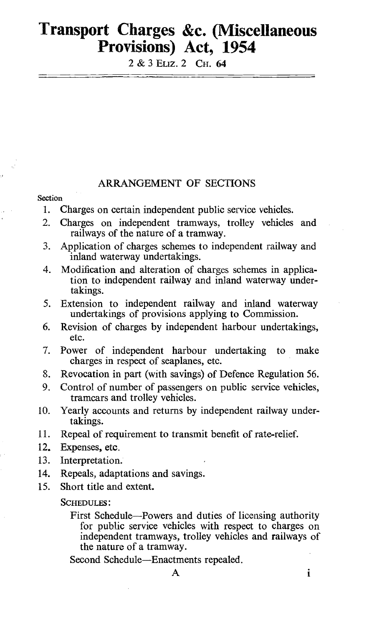# Transport Charges &c. (Miscellaneous Provisions) Act, 1954

2 & 3 ELiz. 2 CH. 64

# ARRANGEMENT OF SECTIONS

### **Section**

- 1. Charges on certain independent public service vehicles.
- 2. Charges on independent tramways, trolley vehicles and railways of the nature of a tramway.
- 3. Application of charges schemes to independent railway and inland waterway undertakings.
- 4. Modification and alteration of charges schemes in application to independent railway and inland waterway undertakings.
- 5. Extension to independent railway and inland waterway undertakings of provisions applying to Commission.
- 6. Revision of charges by independent harbour undertakings, etc.
- 7. Power of independent harbour undertaking to make charges in respect of seaplanes, etc.
- 8. Revocation in part (with savings) of Defence Regulation 56.
- 9. Control of number of passengers on public service vehicles, tramcars and trolley vehicles.
- 10. Yearly accounts and returns by independent railway undertakings.
- 11. Repeal of requirement to transmit benefit of rate-relief.
- 12. Expenses, etc.
- 13. Interpretation.
- 14. Repeals, adaptations and savings.
- 15. Short title and extent.

#### SCHEDULES :

First Schedule-Powers and duties of licensing authority for public service vehicles with respect to charges on independent tramways, trolley vehicles and railways of the nature of a tramway.

Second Schedule-Enactments repealed.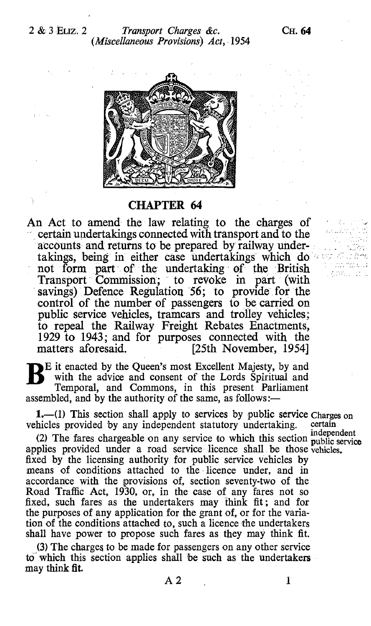

# CHAPTER 64

An Act to amend the law relating to the charges of certain undertakings connected with transport and to the accounts and returns to be prepared by railway undertakings, being in either case undertakings which do not form part of the undertaking of the British Transport Commission; to revoke in part (with savings) Defence Regulation 56; to provide for the control of the number of passengers to be carried on public service vehicles, tramcars and trolley vehicles; to repeal the Railway Freight Rebates Enactments, 1929 to 1943; and for purposes connected with the matters aforesaid. [25th November, 1954] [25th November, 1954]

Eit enacted by the Queen's most Excellent Majesty, by and with the advice and consent of the Lords Spiritual and Temporal, and Commons, in this present Parliament assembled, and by the authority of the same, as follows:—

1.—(1) This section shall apply to services by public service Charges on hicles provided by any independent statutory undertaking certain vehicles provided by any independent statutory undertaking.

(2) The fares chargeable on any service to which this section public service applies provided under a road service licence shall, be those vehicles. fixed by the licensing authority for public service vehicles by means of conditions attached to the licence under, and in accordance with the provisions of, section seventy-two of the Road Traffic Act, 1930, or, in the case of any fares not so fixed, such fares as the undertakers may think fit ; and for the purposes of any application for the grant of, or for the variation of the conditions attached to, such a licence the undertakers shall have power to propose such fares as they may think fit.

(3) The charges to be made for passengers on any other service to which this section applies shall be such as the undertakers may think fit.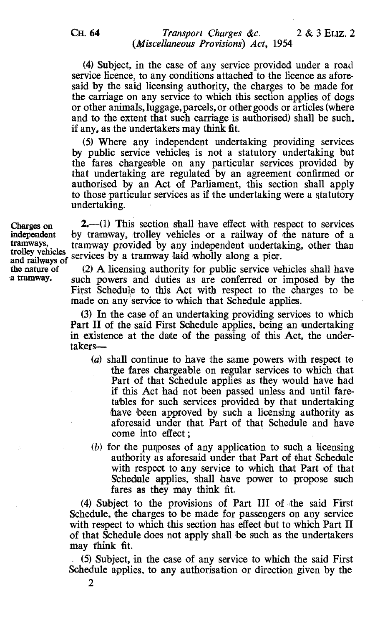2

# CH. 64 Transport Charges &c. 2 & 3 ELIZ. 2 (Miscellaneous Provisions) Act, 1954

(4) Subject, in the case of any service provided under a road service licence, to any conditions attached to the licence as aforesaid by the said licensing authority, the charges to be made for the carriage on any service to which this section applies of dogs or other animals, luggage, parcels, or other goods or articles (where and to the extent that such carriage is authorised) shall be such. if any, as the undertakers may think fit.

(5) Where any independent undertaking providing services by public service vehicles is not a statutory undertaking but the fares chargeable on any particular services provided by that undertaking are regulated by an agreement confirmed or authorised by an Act of Parliament, this section shall apply to those particular services as if the undertaking were a statutory undertaking.

Charges on  $2, -1$  This section shall have effect with respect to services independent by tramway, trolley vehicles or a railway of the nature of a independent by tramway, trolley vehicles or a railway of the nature of a<br>tramways, tramway provided by any independent undertaking other than tramways, tramway provided by any independent undertaking, other than trolley vehicles services by a tramway laid wholly along a pier.<br>and railways of services by a tramway laid wholly along a pier.<br>the nature of (2) A lic

the nature of  $(2)$  A licensing authority for public service vehicles shall have<br>a tramway, such powers and duties as are conferred or imposed by the such powers and duties as are conferred or imposed by the First Schedule to this Act with respect to the charges to be made on any service to which that Schedule applies.

> (3) In the case of an undertaking providing services to which Part II of the said First Schedule applies, being an undertaking in existence at the date of the passing of this Act, the undertakers-

- (a) shall continue to have the same powers with respect to the fares chargeable on regular services to which that Part of that Schedule applies as they would have had if this Act had not been passed unless and until faretables for such services provided by that undertaking have been approved by such a licensing authority as aforesaid under that Part of that Schedule and have come into effect ;
- (b) for the purposes of any application to such a licensing authority as aforesaid under that Part of that Schedule with respect to any service to which that Part of that Schedule applies, shall have power to propose such fares as they may think fit.

(4) Subject to the provisions of Part III of the said First Schedule, the charges to be made for passengers on any service with respect to which this section has effect but to which Part II of that Schedule does not apply shall be such as the undertakers may think fit.

(5) Subject, in the case of any service to which the said First Schedule applies, to any authorisation or direction given by the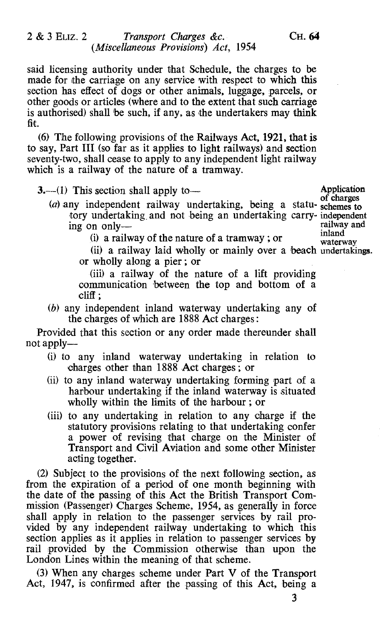said licensing authority under that Schedule, the charges to be made for the carriage on any service with respect to which this section has effect of dogs or other animals, luggage, parcels, or other goods or articles (where and to the extent that such carriage is authorised) shall be such, if any, as the undertakers may think fit.

(6) The following provisions of the Railways Act, 1921, that is to say, Part III (so far as it applies to light railways) and section seventy-two, shall cease to apply to any independent light railway which is a railway of the nature of a tramway.

 $3-$ (1) This section shall apply to  $\qquad$  Application of charges

(a) any independent railway undertaking, being a statu- schemes to tory undertaking and not being an undertaking carry- independent<br>ing on only ing on only--<br>inland

 $(i)$  a railway of the nature of a tramway; or

(ii) a railway laid wholly or mainly over a beach undertakings. or wholly along a pier ; or

(iii) a railway of the nature of a lift providing communication between the top and bottom of a  ${\rm cliff}:\,$ 

(b) any independent inland waterway undertaking any of the charges of which are 1888 Act charges :

Provided that this section or any order made thereunder shall not apply—

- (i) to any inland waterway undertaking in relation to charges other than 1888 Act charges ; or
- (ii) to any inland waterway undertaking forming part of a harbour undertaking if the inland waterway is situated wholly within the limits of the harbour ; or
- (iii) to any undertaking in relation to any charge if the statutory provisions relating to that undertaking confer a power of revising that charge on the Minister of Transport and Civil Aviation and some other Minister acting together.

(2) Subject to the provisions of the next following section, as from the expiration of a period of one month beginning with the date of the passing of this Act the British Transport Commission (Passenger) Charges Scheme, 1954, as generally in force shall apply in relation to the passenger services by rail provided by any independent railway undertaking to which this section applies as it applies in relation to passenger services by rail provided by the Commission otherwise than upon the London Lines within the meaning of that scheme.

(3) When any charges scheme under Part V of the Transport Act, 1947, is confirmed after the passing of this Act, being a

waterway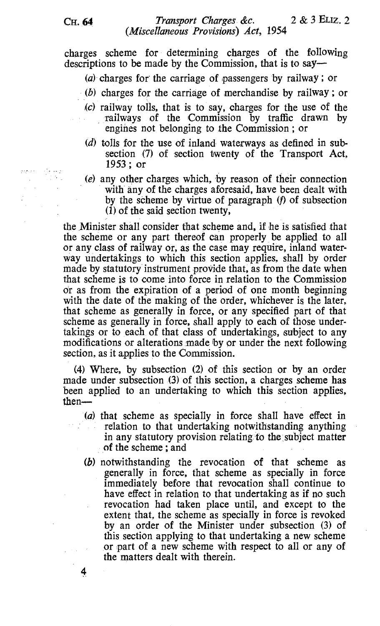charges scheme for determining charges of the following descriptions to be made by the Commission, that is to say-

- (a) charges for the carriage of passengers by railway ; or
- $(b)$  charges for the carriage of merchandise by railway; or
- (c) railway tolls, that is to say, charges for the use of the railways of the Commission by traffic drawn by engines not belonging to the Commission ; or
- (d) tolls for the use of inland waterways as defined in subsection (7) of section twenty of the Transport Act, 1953 ; or
- (e) any other charges which, by reason of their connection with any of the charges aforesaid, have been dealt with by the scheme by virtue of paragraph (f) of subsection  $(1)$  of the said section twenty,

the Minister shall consider that scheme and, if he is satisfied that the scheme or any part thereof can properly be applied to all or any class of railway or, as the case may require, inland waterway undertakings to which this section applies, shall by order made by statutory instrument provide that, as from the date when that scheme is to come into force in relation to the Commission or as from the expiration of a period of one month beginning with the date of the making of the order, whichever is the later, that scheme as generally in force, or any specified part of that scheme as generally in force, shall apply to each of those undertakings or to each of that class of undertakings, subject to any modifications or alterations made by or under the next following section, as it applies to the Commission.

(4) Where, by subsection (2) of this section or by an order made under subsection (3) of this section, a charges scheme has been applied to an undertaking to which this section applies, then-

- (a) that scheme as specially in force shall have effect in relation to that undertaking notwithstanding anything in any statutory provision relating to the subject matter of the scheme ; and
- (b) notwithstanding the revocation of that scheme as generally in force, that scheme as specially in force immediately before that revocation shall continue to have effect in relation to that undertaking as if no such revocation had taken place until, and except to the extent that, the scheme as specially in force is revoked by an order of the Minister under subsection (3) of this section applying to that undertaking a new scheme or part of a new scheme with respect to all or any of the matters dealt with therein.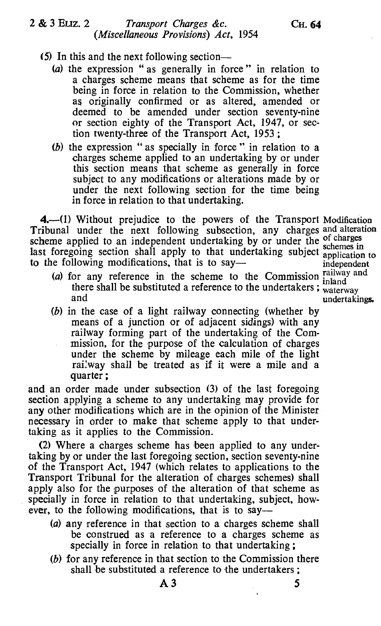# 2 & 3 ELIZ. 2 Transport Charges &c. CH. 64 (Miscellaneous Provisions) Act, 1954

- (5) In this and the next following section—
	- (a) the expression " as generally in force " in relation to a charges scheme means that scheme as for the time being in force in relation to the Commission, whether as originally confirmed or as altered, amended or deemed to be amended under section seventy-nine or section eighty of the Transport Act, 1947, or section twenty-three of the Transport Act, 1953 ;
	- (b) the expression " as specially in force " in relation to a charges scheme applied to an undertaking by or under this section means that scheme as generally in force subject to any modifications or alterations made by or under the next following section for the time being in force in relation to that undertaking.

4. (1) Without prejudice to the powers of the Transport Modification Tribunal under the next following subsection, any charges and alteration scheme applied to an independent undertaking by or under the schemes in last foregoing section shall apply to that undertaking subject application to to the following modifications, that is to say—

- (a) for any reference in the scheme to the Commission  $\frac{\text{raliway and}}{\text{inland}}$ there shall be substituted a reference to the undertakers; waterway and
- (b) in the case of a light railway connecting (whether by means of a junction or of adjacent sidings) with any railway forming part of the undertaking of the Commission, for the purpose of the calculation of charges under the scheme by mileage each mile of the light railway shall be treated as if it were a mile and a quarter ;

and an order made under subsection (3) of the last foregoing section applying a scheme to any undertaking may provide for any other modifications which are in the opinion of the Minister necessary in order to make that scheme apply to that undertaking as it applies to the Commission.

(2) Where a charges scheme has been applied to any undertaking by or under the last foregoing section, section seventy-nine of the Transport Act, 1947 (which relates to applications to the Transport Tribunal for the alteration of charges schemes) shall apply also for the purposes of the alteration of that scheme as specially in force in relation to that undertaking, subject, however, to the following modifications, that is to say-

- (a) any reference in that section to a charges scheme shall be construed as a reference to a charges scheme as specially in force in relation to that undertaking ;
- (b) for any reference in that section to the Commission there shall be substituted a reference to the undertakers ;

application to independent inland undertakings.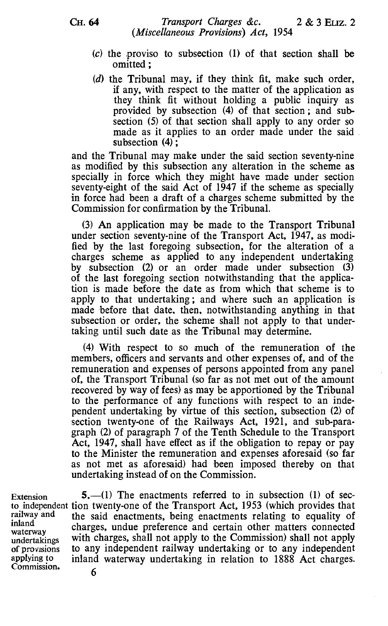- $(c)$  the proviso to subsection  $(1)$  of that section shall be omitted ;
- (d) the Tribunal may, if they think fit, make such order, if any, with respect to the matter of the application as they think fit without holding a public inquiry as provided by subsection (4) of that section ; and subsection (5) of that section shall apply to any order so made as it applies to an order made under the said. subsection (4) ;

and the Tribunal may make under the said section seventy-nine as modified by this subsection any alteration in the scheme as specially in force which they might have made under section seventy-eight of the said Act of 1947 if the scheme as specially in force had been a draft of a charges scheme submitted by the Commission for confirmation by the Tribunal.

(3) An application may be made to the Transport Tribunal under section seventy-nine of the Transport Act, 1947, as modified by the last foregoing subsection, for the alteration of a charges scheme as applied to any independent undertaking by subsection (2) or an order made under subsection (3) of the last foregoing section notwithstanding that the application is made before the date as from which that scheme is to apply to that undertaking ; and where such an application is made before that date, then, notwithstanding anything in that subsection or order, the scheme shall not apply to that undertaking until such date as the Tribunal may determine.

(4) With respect to so much of the remuneration of the members, officers and servants and other expenses of, and of the remuneration and expenses of persons appointed from any panel of, the Transport Tribunal (so far as not met out of the amount recovered by way of fees) as may be apportioned by the Tribunal to the performance of any functions with respect to an independent undertaking by virtue of this section, subsection (2) of section twenty-one of the Railways Act, 1921, and sub-paragraph (2) of paragraph 7 of the Tenth Schedule to the Transport Act, 1947, shall have effect as if the obligation to repay or pay to the Minister the remuneration and expenses aforesaid (so far as not met as aforesaid) had been imposed thereby on that undertaking instead of on the Commission.

Extension  $5.-(1)$  The enactments referred to in subsection (1) of secto independent tion twenty-one of the Transport Act, 1953 (which provides that railway and the said enactments, being enactments relating to equality of railway and the said enactments, being enactments relating to equality of inland inland charges, undue preference and certain other matters connected undertakings with charges, shall not apply to the Commission) shall not apply of provisions to any independent railway undertaking or to any independent applying to inland waterway undertaking in relation to 1888. Act charges. applying to inland waterway undertaking in relation to  $1888$  Act charges.<br>Commission.  $6$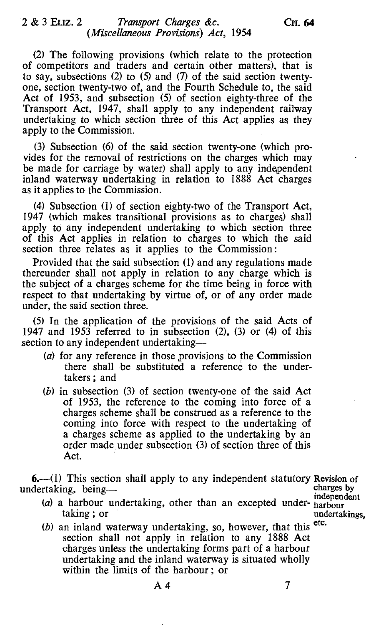(2) The following provisions (which relate to the protection of competitors and traders and certain other matters), that is to say, subsections (2) to (5) and (7) of the said section twentyone, section twenty-two of, and the Fourth Schedule to, the said Act of 1953, and subsection (5) of section eighty-three of the Transport Act, 1947, shall apply to any independent railway undertaking to which section three of this Act applies as they apply to the Commission.

(3) Subsection (6) of the said section twenty-one (which provides for the removal of restrictions on the charges which may be made for carriage by water) shall apply to any independent inland waterway undertaking in relation to 1888 Act charges as it applies to the Commission.

(4) Subsection (1) of section eighty-two of the Transport Act, 1947 (which makes transitional provisions as to charges) shall apply to any independent undertaking to which section three of this Act applies in relation to charges to which the said section three relates as it applies to the Commission :

Provided that the said subsection (1) and any regulations made thereunder shall not apply in relation to any charge which is the subject of a charges scheme for the time being in force with respect to that undertaking by virtue of, or of any order made under, the said section three.

(5) In the application of the provisions of the said Acts of 1947 and 1953 referred to in subsection  $(2)$ ,  $(3)$  or  $(4)$  of this section to any independent undertaking-

- (a) for any reference in those provisions to the Commission there shall be substituted a reference to the undertakers ; and
- (b) in subsection (3) of section twenty-one of the said Act of 1953, the reference to the coming into force of a charges scheme shall be construed as a reference to the coming into force with respect to the undertaking of a charges scheme as applied to the undertaking by an order made under subsection (3) of section three of this Act.

**6.**—(1) This section shall apply to any independent statutory Revision of dertaking being  $\frac{1}{\text{charge}}$ undertaking, being- charges by

(a) a harbour undertaking, other than an excepted under- harbour taking; or

undertakings,<br>etc.

 $(b)$  an inland waterway undertaking, so, however, that this section shall not apply in relation to any 1888 Act charges unless the undertaking forms part of a harbour undertaking and the inland waterway is situated wholly within the limits of the harbour ; or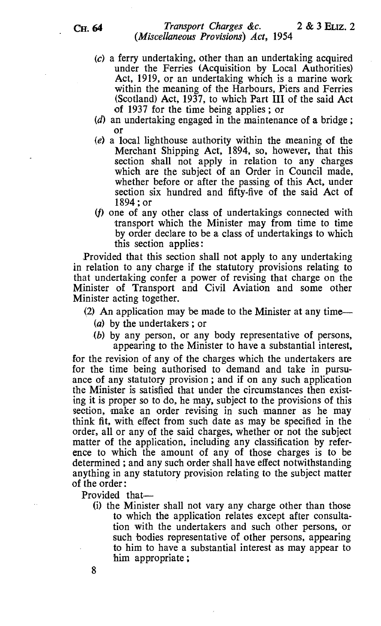- (c) a ferry undertaking, other than an undertaking acquired under the Ferries (Acquisition by Local Authorities) Act, 1919, or an undertaking which is a marine work within the meaning of the Harbours, Piers and Ferries (Scotland) Act, 1937, to which Part III of the said Act of 1937 for the time being applies ; or
- (d) an undertaking engaged in the maintenance of a bridge ; or
- (e) a local lighthouse authority within the meaning of the Merchant Shipping Act, 1894, so, however, that this section shall not apply in relation to any charges which are the subject of an Order in Council made, whether before or after the passing of this Act, under section six hundred and fifty-five of the said Act of 1894 ; or
- (f) one of any other class of undertakings connected with transport which the Minister may from time to time by order declare to be a class of undertakings to which this section applies :

Provided that this section shall not apply to any undertaking in relation to any charge if the statutory provisions relating to that undertaking confer a power of revising that charge on the Minister of Transport and Civil Aviation and some other Minister acting together.

(2) An application may be made to the Minister at any time—

(a) by the undertakers ; or

(b) by any person, or any body representative of persons, appearing to the Minister to have a substantial interest,

for the revision of any of the charges which the undertakers are for the time being authorised to demand and take in pursuance of any statutory provision ; and if on any such application the Minister is satisfied that under the circumstances then existing it is proper so to do, he may, subject to the provisions of this section, make an order revising in such manner as he may think fit, with effect from such date as may be specified in the order, all or any of the said charges, whether or not the subject matter of the application, including any classification by reference to which the amount of any of those charges is to be determined ; and any such order shall have effect notwithstanding anything in any statutory provision relating to the subject matter of the order :

Provided that-

(i) the Minister shall not vary any charge other than those to which the application relates except after consultation with the undertakers and such other persons, or such bodies representative of other persons, appearing to him to have a substantial interest as may appear to him appropriate ;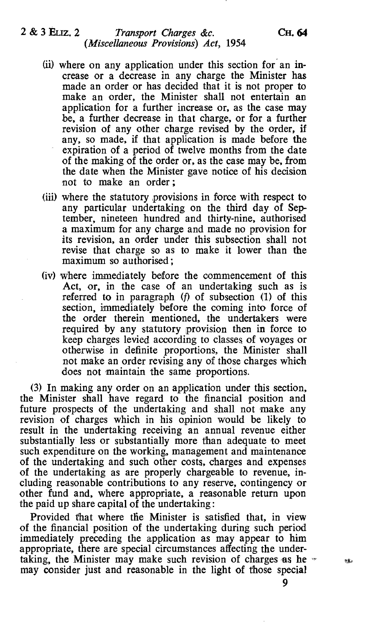# 2 & 3 ELIZ. 2 Transport Charges &c. CH. 64 (Miscellaneous Provisions) Act, 1954

- (ii) where on any application under this section for an increase or a decrease in any charge the Minister has made an order or has decided that it is not proper to make an order, the Minister shall not entertain an application for a further increase or, as the case may be, a further decrease in that charge, or for a further revision of any other charge revised by the order, if any, so made, if that application is made before the expiration of a period of twelve months from the date of the making of the order or, as the case may be, from the date when the Minister gave notice of his decision not to make an order ;
- (iii) where the statutory provisions in force with respect to any particular undertaking on the third day of September, nineteen hundred and thirty-nine, authorised a maximum for any charge and made no provision for its revision, an order under this subsection shall not revise that charge so as to make it lower than the maximum so authorised ;
- (iv) where immediately before the commencement of this Act, or, in the case of an undertaking such as is referred to in paragraph (f) of subsection (1) of this section, immediately before the coming into force of the order therein mentioned, the undertakers were required by any statutory provision then in force to keep charges levied according to classes of voyages or otherwise in definite proportions, the Minister shall not make an order revising any of those charges which does not maintain the same proportions.

(3) In making any order on an application under this section, the Minister shall have regard to the financial position and future prospects of the undertaking and shall not make any revision of charges which in his opinion would be likely to result in the undertaking receiving an annual revenue either substantially less or substantially more than adequate to meet such expenditure on the working, management and maintenance of the undertaking and such other costs, charges and expenses of the undertaking as are properly chargeable to revenue, including reasonable contributions to any reserve, contingency or other fund and, where appropriate, a reasonable return upon the paid up share capital of the undertaking:

Provided that where the Minister is satisfied that, in view of the financial position of the undertaking during such period immediately preceding the application as may appear to him appropriate, there are special circumstances affecting the undertaking, the Minister may make such revision of charges as he  $\sim$ may consider just and reasonable in the light of those special

sà.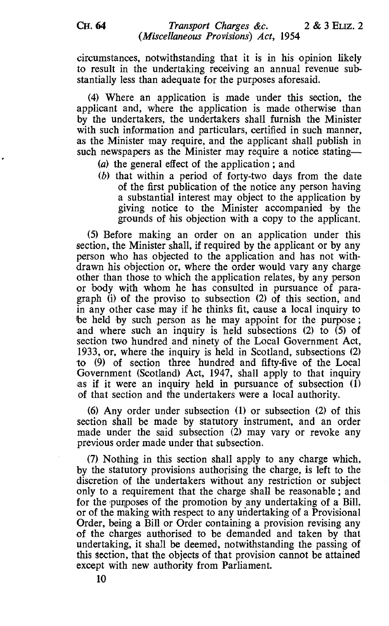circumstances, notwithstanding that it is in his opinion likely to result in the undertaking receiving an annual revenue substantially less than adequate for the purposes aforesaid.

(4) Where an application is made under this section, the applicant and, where the application is made otherwise than by the undertakers, the undertakers shall furnish the Minister with such information and particulars, certified in such manner, as the Minister may require, and the applicant shall publish in such newspapers as the Minister may require a notice stating-

- (a) the general effect of the application ; and
- (b) that within a period of forty-two days from the date of the first publication of the notice any person having a substantial interest may object to the application by giving notice to the Minister accompanied by the grounds of his objection with a copy to the applicant.

(5) Before making an order on an application under this section, the Minister shall, if required by the applicant or by any person who has objected to the application and has not withdrawn his objection or, where the order would vary any charge other than those to which the application relates, by any person or body with whom he has consulted in pursuance of paragraph (i) of the proviso to subsection (2) of this section, and in any other case may if he thinks fit, cause a local inquiry to be held by such person as he may appoint for the purpose; and where such an inquiry is held subsections (2) to  $(5)$  of section two hundred and ninety of the Local Government Act, 1933, or, where the inquiry is held in Scotland, subsections (2) to (9) of section three hundred and fifty-five of the Local Government (Scotland) Act, 1947, shall apply to that inquiry as if it were an inquiry held in pursuance of subsection (1) of that section and the undertakers were a local authority.

(6) Any order under subsection (1) or subsection (2) of this section shall be made by statutory instrument, and an order made under the said subsection (2) may vary or revoke any previous order made under that subsection.

(7) Nothing in this section shall apply to any charge which, by the statutory provisions authorising the charge, is left to the discretion of the undertakers without any restriction or subject only to a requirement that the charge shall be reasonable ; and for the purposes of the promotion by any undertaking of a Bill, or of the making with respect to any undertaking of a Provisional Order, being a Bill or Order containing a provision revising any of the charges authorised to be demanded and taken by that undertaking, it shall be deemed, notwithstanding the passing of this section, that the objects of that provision cannot be attained except with new authority from Parliament.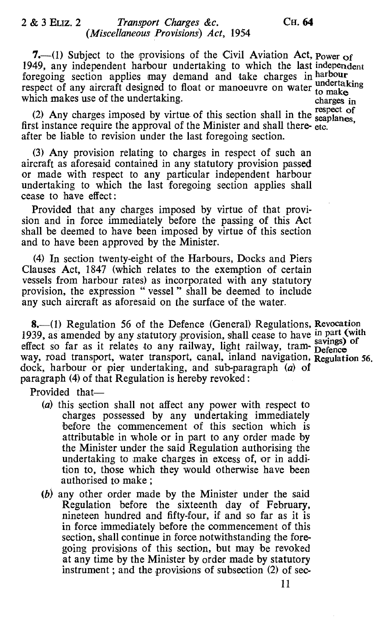# 2 & 3 ELIZ. 2 Transport Charges &c. CH. 64 (Miscellaneous Provisions) Act, 1954

7.—(1) Subject to the provisions of the Civil Aviation Act, power of 1949, any independent harbour undertaking to which the last independent foregoing section applies may demand and take charges in harbour respect of any aircraft designed to float or manoeuvre on water to make<br>which makes use of the undertaking. charges in which makes use of the undertaking. Charges in

(2) Any charges imposed by virtue of this section shall in the respect of first instance require the approval of the Minister and shall there- etc. after be liable to revision under the last foregoing section.

(3) Any provision relating to charges in respect of such an aircraft as aforesaid contained in any statutory provision passed or made with respect to any particular independent harbour undertaking to which the last foregoing section applies shall cease to have effect:

Provided that any charges imposed by virtue of that provision and in force immediately before the passing of this Act shall be deemed to have been imposed by virtue of this section and to have been approved by the Minister.

(4) In section twenty-eight of the Harbours, Docks and Piers Clauses Act, 1847 (which relates to the exemption of certain vessels from harbour rates) as incorporated with any statutory provision, the expression " vessel " shall be deemed to include any such aircraft as aforesaid on the surface of the water.

8.-(1) Regulation 56 of the Defence (General) Regulations, Revocation 1939, as amended by any statutory provision, shall cease to have in part (with 1959, as allended by any statutory provision, shall cease to have savings) of effect so far as it relates to any railway, light railway, tram- Defence way, road transport, water transport, canal, inland navigation, Regulation 56. dock, harbour or pier undertaking, and sub-paragraph (a) of paragraph (4) of that Regulation is hereby revoked :

Provided that-

- (a) this section shall not affect any power with respect to charges possessed by any undertaking immediately before the commencement of this section which is attributable in whole or in part to any order made by the Minister under the said Regulation authorising the undertaking to make charges in excess of, or in addition to, those which they would otherwise have been authorised to make ;
- (b) any other order made by the Minister under the said Regulation before the sixteenth day of February, nineteen hundred and fifty-four, if and so far as it is in force immediately before the commencement of this section, shall continue in force notwithstanding the foregoing provisions of this section, but may be revoked at any time by the Minister by order made by statutory instrument ; and the provisions of subsection (2) of sec-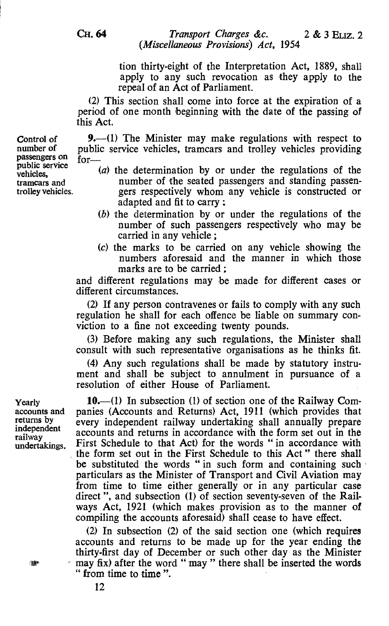> tion thirty-eight of the Interpretation Act, 1889, shall apply to any such revocation as they apply to the repeal of an Act of Parliament.

(2) This section shall come into force at the expiration of a period of one month beginning with the date of the passing of this Act.

passengers on  $f_{OT}$ 9. $-(1)$  The Minister may make regulations with respect to public service vehicles, tramcars and trolley vehicles providing

- (a) the determination by or under the regulations of the number of the seated passengers and standing passen
	- gers respectively whom any vehicle is constructed or adapted and fit to carry :
- (b) the determination by or under the regulations of the number of such passengers respectively who may be carried in any vehicle ;
- (c) the marks to be carried on any vehicle showing the numbers aforesaid and the manner in which those marks are to be carried :

and different regulations may be made for different cases or different circumstances.

(2) If any person contravenes or fails to comply with any such regulation he shall for each offence be liable on summary conviction to a fine not exceeding twenty pounds.

(3) Before making any such regulations, the Minister shall consult with such representative organisations as he thinks fit.

(4) Any such regulations shall be made by statutory instrument and shall be subject to annulment in pursuance of a resolution of either House of Parliament.

Yearly 10. (1) In subsection (1) of section one of the Railway Com-<br>accounts and panies (Accounts and Returns) Act. 1911 (which provides that accounts and panies (Accounts and Returns) Act, 1911 (which provides that returns by every independent railway undertaking shall annually prepare returns by every independent railway undertaking shall annually prepare<br>independent accounts and returns in accordance with the form ast out in the independent accounts and returns in accordance with the form set out in the railway<br>undertakings. First Schedule to that Act) for the words " in accordance with the form set out in the First Schedule to this Act " there shall be substituted the words " in such form and containing such particulars as the Minister of Transport and Civil Aviation may from time to time either generally or in any particular case direct ", and subsection (1) of section seventy-seven of the Railways Act, 1921 (which makes provision as to the manner of compiling the accounts aforesaid) shall cease to have effect.

> (2) In subsection (2) of the said section one (which requires accounts and returns to be made up for the year ending the thirty-first day of December or such other day as the Minister may fix) after the word " may " there shall be inserted the words " from time to time ".

Control of number of

public service vehicles, tramcars and trolley vehicles.

्यूक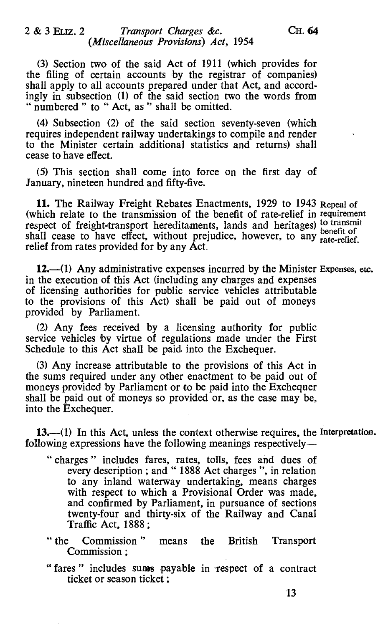(3) Section two of the said Act of 1911 (which provides for the filing of certain accounts by the registrar of companies) shall apply to all accounts prepared under that Act, and accordingly in subsection (1) of the said section two the words from " numbered " to " Act, as " shall be omitted.

(4) Subsection (2) of the said section seventy-seven (which requires independent railway undertakings to compile and render to the Minister certain additional statistics and returns) shall cease to have effect.

(5) This section shall come into force on the first day of January, nineteen hundred and fifty-five.

11. The Railway Freight Rebates Enactments, 1929 to 1943 Repeal of (which relate to the transmission of the benefit of rate-relief in requirement respect of freight-transport hereditaments, lands and heritages) to transmit shall cease to have effect, without prejudice, however, to any rate-relief. relief from rates provided for by any Act.

12. $-(1)$  Any administrative expenses incurred by the Minister Expenses, etc. in the execution of this Act (including any charges and expenses of licensing authorities for public service vehicles attributable to the provisions of this Act) shall be paid out of moneys provided by Parliament.

(2) Any fees received by a licensing authority for public service vehicles by virtue of regulations made under the First Schedule to this Act shall be paid, into the Exchequer.

(3) Any increase attributable to the provisions of this Act in the sums required under any other enactment to be paid out of moneys provided by Parliament or to be paid into the Exchequer shall be paid out of moneys so provided or, as the case may be, into the Exchequer.

13.—(1) In this Act, unless the context otherwise requires, the Interpretation. following expressions have the following meanings respectively—

- charges " includes fares, rates, tolls, fees and dues of every description ; and " 1888 Act charges ", in relation to any inland waterway undertaking, means charges with respect to which a Provisional Order was made, and confirmed by Parliament, in pursuance of sections twenty-four and thirty-six of the Railway and Canal Traffic Act, 1888;
- "the Commission " means the British Transport Commission ;
- "fares" includes sums payable in respect of a contract ticket or season ticket ;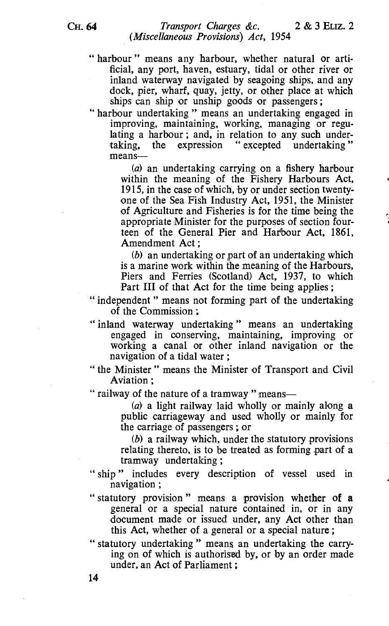" harbour" means any harbour, whether natural or artificial, any port, haven, estuary, tidal or other river or inland waterway navigated by seagoing ships, and any dock, pier, wharf, quay, jetty, or other place at which ships can ship or unship goods or passengers ;

" harbour undertaking " means an undertaking engaged in improving, maintaining, working, managing or regulating a harbour; and, in relation to any such under-<br>taking, the expression "excepted undertaking" the expression " excepted undertaking" means-

> (a) an undertaking carrying on a fishery harbour within the meaning of the Fishery Harbours Act, 1915, in the case of which, by or under section twentyone of the Sea Fish Industry Act, 1951, the Minister of Agriculture and Fisheries is for the time being the appropriate Minister for the purposes of section fourteen of the General Pier and Harbour Act, 1861, Amendment Act ;

> (b) an undertaking or part of an undertaking which is a marine work within the meaning of the Harbours, Piers and Ferries (Scotland) Act, 1937, to which Part III of that Act for the time being applies;

" independent " means not forming part of the undertaking of the Commission ;

- " inland waterway undertaking " means an undertaking engaged in conserving, maintaining, improving or working a canal or other inland navigation or the navigation of a tidal water ;
- " the Minister " means the Minister of Transport and Civil Aviation ;
- " railway of the nature of a tramway" means-

 $(a)$  a light railway laid wholly or mainly along a public carriageway and used wholly or mainly for the carriage of passengers ; or

(b) a railway which, under the statutory provisions relating thereto, is to be treated as forming part of a tramway undertaking ;

- " ship" includes every description of vessel used in navigation ;
- " statutory provision " means a provision whether of a general or a special nature contained in, or in any document made or issued under, any Act other than this Act, whether of a general or a special nature ;

" statutory undertaking " means an undertaking the carrying on of which is authorised by, or by an order made under, an Act of Parliament ;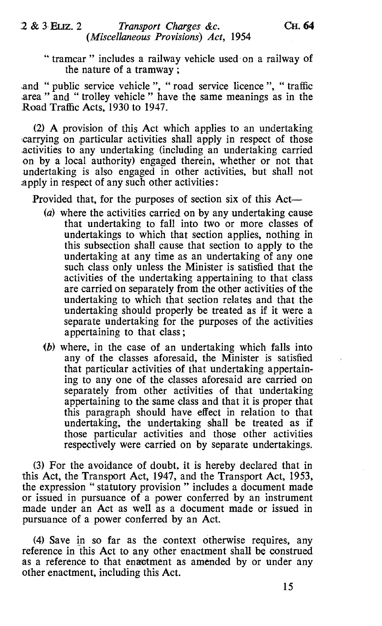" tramcar " includes a railway vehicle used on a railway of the nature of a tramway ;

.and " public service vehicle ", " road service licence ", " traffic area " and " trolley vehicle " have the same meanings as in the Road Traffic Acts, 1930 to 1947.

(2) A provision of this Act which applies to an undertaking .carrying on particular activities shall apply in respect of those activities to any undertaking (including an undertaking carried on by a local authority) engaged therein, whether or not that undertaking is also engaged in other activities, but shall not apply in respect of any such other activities :

Provided that, for the purposes of section six of this Act-

- (a) where the activities carried on by any undertaking cause that undertaking to fall into two or more classes of undertakings to which that section applies, nothing in this subsection shall cause that section to apply to the undertaking at any time as an undertaking of any one such class only unless the Minister is satisfied that the activities of the undertaking appertaining to that class are carried on separately from the other activities of the undertaking to which that section relates and that the undertaking should properly be treated as if it were a separate undertaking for the purposes of the activities appertaining to that class ;
- (b) where, in the case of an undertaking which falls into any of the classes aforesaid, the Minister is satisfied that particular activities of that undertaking appertaining to any one of the classes aforesaid are carried on separately from other activities of that undertaking appertaining to the same class and that it is proper that this paragraph should have effect in relation to that undertaking, the undertaking shall be treated as if those particular activities and those other activities respectively were carried on by separate undertakings.

(3) For the avoidance of doubt, it is hereby declared that in this Act, the Transport Act, 1947, and the Transport Act, 1953, the expression " statutory provision " includes a document made or issued in pursuance of a power conferred by an instrument made under an Act as well as a document made or issued in pursuance of a power conferred by an Act.

(4) Save in so far as the context otherwise requires, any reference in this Act to any other enactment shall be construed as a reference to that enactment as amended by or under any other enactment, including this Act.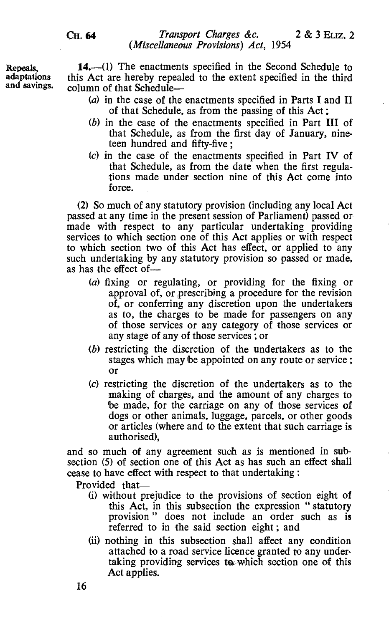14.—(1) The enactments specified in the Second Schedule to this Act are hereby repealed to the extent specified in the third column of that Schedule-

- (a) in the case of the enactments specified in Parts I and II of that Schedule, as from the passing of this Act ;
- (b) in the case of the enactments specified in Part III of that Schedule, as from the first day of January, nineteen hundred and fifty-five ;
- (c) in the case of the enactments specified in Part IV of that Schedule, as from the date when the first regulations made under section nine of this Act come into force.

(2) So much of any statutory provision (including any local Act passed at any time in the present session of Parliament) passed or made with respect to any particular undertaking providing services to which section one of this Act applies or with respect to which section two of this Act has effect, or applied to any such undertaking by any statutory provision so passed or made, as has the effect of-

- (a) fixing or regulating, or providing for the fixing or approval of, or prescribing a procedure for the revision of, or conferring any discretion upon the undertakers as to, the charges to be made for passengers on any of those services or any category of those services or any stage of any of those services ; or
- (b) restricting the discretion of the undertakers as to the stages which may be appointed on any route or service ; or
- (c) restricting the discretion of the undertakers as to the making of charges, and the amount of any charges to be made, for the carriage on any of those services of dogs or other animals, luggage, parcels, or other goods or articles (where and to the extent that such carriage is authorised),

and so much of any agreement such as is mentioned in subsection (5) of section one of this Act as has such an effect shall cease to have effect with respect to that undertaking :

Provided that-

- (i) without prejudice to the provisions of section eight of this Act, in this subsection the expression "statutory provision" does not include an order such as is referred to in the said section eight ; and
- (ii) nothing in this subsection shall affect any condition attached to a road service licence granted to any undertaking providing services to which section one of this Act applies.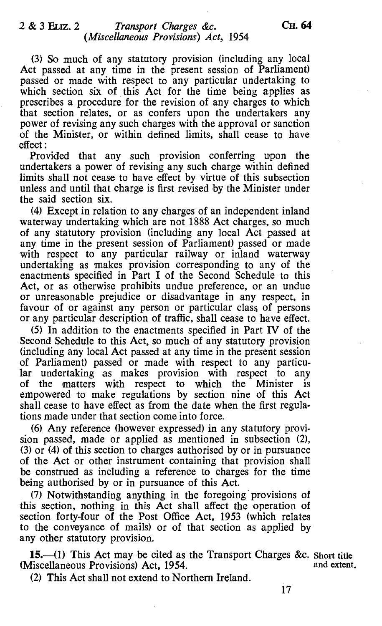(3) So much of any statutory provision (including any local Act passed at any time in the present session of Parliament) passed or made with respect to any particular undertaking to which section six of this Act for the time being applies as prescribes a procedure for the revision of any charges to which that section relates, or as confers upon the undertakers any power of revising any such charges with the approval or sanction of the Minister, or within defined limits, shall cease to have effect:

Provided that any such provision conferring upon the undertakers a power of revising any such charge within defined limits shall not cease to have effect by virtue of this subsection unless and until that charge is first revised by the Minister under the said section six.

(4) Except in relation to any charges of an independent inland waterway undertaking which are not 1888 Act charges, so much of any statutory provision (including any local Act passed at any time in the present session of Parliament) passed or made with respect to any particular railway or inland waterway undertaking as makes provision corresponding to any of the enactments specified in Part I of the Second Schedule to this Act, or as otherwise prohibits undue preference, or an undue or unreasonable prejudice or disadvantage in any respect, in favour of or against any person or particular class of persons or any particular description of traffic, shall cease to have effect.

(5) In addition to the enactments specified in Part IV of the Second Schedule to this Act, so much of any statutory provision (including any local Act passed at any time in the present session of Parliament) passed or made with respect to any particular undertaking as makes provision with respect to of the matters with respect to which the Minister the matters with respect to which the Minister is empowered to make regulations by section nine of this Act shall cease to have effect as from the date when the first regulations made under that section come into force.

(6) Any reference (however expressed) in any statutory provision passed, made or applied as mentioned in subsection (2), (3) or (4) of this section to charges authorised by or in pursuance of the Act or other instrument containing that provision shall be construed as including a reference to charges for the time being authorised by or in pursuance of this Act.

(7) Notwithstanding anything in the foregoing ' provisions of this section, nothing in this Act shall affect the operation of section forty-four of the Post Office Act, 1953 (which relates to the conveyance of mails) or of that section as applied by any other statutory provision.

**15.**—(1) This Act may be cited as the Transport Charges &c. Short title discellaneous Provisions) Act. 1954 and extent. (Miscellaneous Provisions) Act, 1954.

(2) This Act shall not extend to Northern Ireland.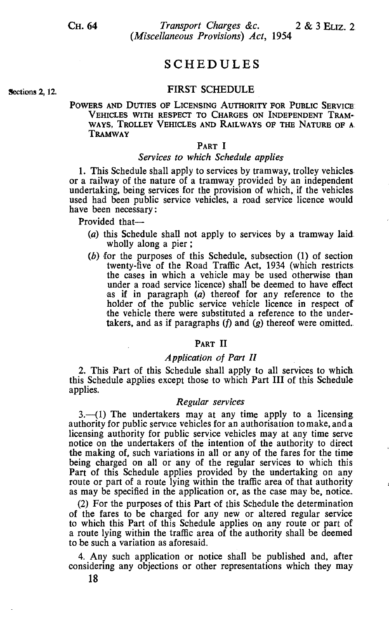**Sections 2, 12.** 

CH. 64 Transport Charges &c. 2 & 3 ELIZ. 2 (Miscellaneous Provisions) Act, 1954

# SCHEDULES

### FIRST SCHEDULE

#### POWERS AND DUTIES OF LICENSING AUTHORITY FOR PUBLIC SERVICE VEHICLES WITH RESPECT TO CHARGES ON INDEPENDENT TRAM-WAYS, TROLLEY VEHICLES AND RAILWAYS OF THE NATURE OF A. TRAMWAY

#### PART I

### Services to which Schedule applies

1. This Schedule shall apply to services by tramway, trolley vehicles, or a railway of the nature of a tramway provided by an independent undertaking, being services for the provision of which, if the vehicles, used had been public service vehicles, a road service licence would have been necessary:

Provided that-

- (a) this Schedule shall not apply to services by a tramway laid. wholly along a pier ;
- (b) for the purposes of this Schedule, subsection (1) of section twenty-five of the Road Traffic Act, 1934 (which restricts the cases in which a vehicle may be used otherwise than under a road service licence) shall be deemed to have effect as if in paragraph  $(a)$  thereof for any reference to the holder of the public service vehicle licence in respect of the vehicle there were substituted a reference to the undertakers, and as if paragraphs  $(f)$  and  $(g)$  thereof were omitted.

## PART II

#### Application of Part II

2. This Part of this Schedule shall apply to all services to which this Schedule applies except those to which Part III of this Schedule applies.

#### Regular services

 $3.$  (1) The undertakers may at any time apply to a licensing authority for public service vehicles for an authorisation to make, and a licensing authority for public service vehicles may at any time serve notice on the undertakers of the intention of the authority to direct the making of, such variations in all or any of the fares for the time being charged on all or any of the regular services to which this Part of this Schedule applies provided by the undertaking on any route or part of a route lying within the traffic area of that authority as may be specified in the application or, as the case may be, notice.

(2) For the purposes of this Part of this Schedule the determination of the fares to be charged for any new or altered regular service to which this Part of this Schedule applies on any route or part of a route lying within the traffic area of the authority shall be deemed to be such a variation as aforesaid.

4. Any such application or notice shall be published and, after considering any objections or other representations which they may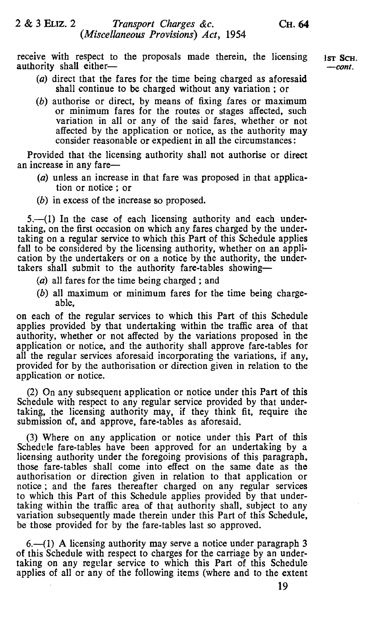receive with respect to the proposals made therein, the licensing authority shall eitherIST SCH. -cont.

- (a) direct that the fares for the time being charged as aforesaid shall continue to be charged without any variation ; or
- (b) authorise or direct, by means of fixing fares or maximum or minimum fares for the routes or stages affected, such variation in all or any of the said fares, whether or not affected by the application or notice, as the authority may consider reasonable or expedient in all the circumstances :

Provided that the licensing authority shall not authorise or direct an increase in any fare-

- (a) unless an increase in that fare was proposed in that application or notice ; or
- (b) in excess of the increase so proposed.

5.—(1) In the case of each licensing authority and each undertaking, on the first occasion on which any fares charged by the undertaking on a regular service to which this Part of this Schedule applies fall to be considered by the licensing authority, whether on an application by the undertakers or on a notice by the authority, the undertakers shall submit to the authority fare-tables showing-

- (a) all fares for the time being charged ; and
- (b) all maximum or minimum fares for the time being chargeable,

on each of the regular services to which this Part of this Schedule applies provided by that undertaking within the traffic area of that authority, whether or not affected by the variations proposed in the application or notice, and the authority shall approve fare-tables for all the regular services aforesaid incorporating the variations, if any, provided for by the authorisation or direction given in relation to the application or notice.

(2) On any subsequent application or notice under this Part of this Schedule with respect to any regular service provided by that undertaking, the licensing authority may, if they think fit, require the submission of, and approve, fare-tables as aforesaid.

(3) Where on any application or notice under this Part of this Schedule fare-tables have been approved for an undertaking by a licensing authority under the foregoing provisions of this paragraph, those fare-tables shall come into effect on the same date as the authorisation or direction given in relation to that application or notice ; and the fares thereafter charged on any regular services to which this Part of this Schedule applies provided by that undertaking within the traffic area of that authority shall, subject to any variation subsequently made therein under this Part of this Schedule, be those provided for by the fare-tables last so approved.

 $6-1$ ) A licensing authority may serve a notice under paragraph 3 of this Schedule with respect to charges for the carriage by an undertaking on any regular service to which this Part of this Schedule applies of all or any of the following items (where and to the extent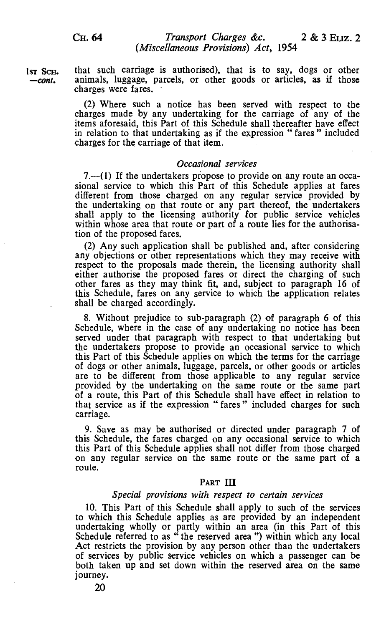$1sr$  Sch. that such carriage is authorised), that is to say, dogs or other  $-cont$ . animals, luggage, parcels, or other goods or articles, as if those animals, luggage, parcels, or other goods or articles, as if those charges were fares.

> (2) Where such a notice has been served with respect to the charges made by any undertaking for the carriage of any of the items aforesaid, this Part of this Schedule shall thereafter have effect in relation to that undertaking as if the expression " fares " included charges for the carriage of that item.

#### Occasional services

 $7-$ (1) If the undertakers propose to provide on any route an occasional service to which this Part of this Schedule applies at fares different from those charged on any regular service provided by the undertaking on that route or any part thereof, the undertakers shall apply to the licensing authority for public service vehicles within whose area that route or part of a route lies for the authorisation of the proposed fares.

(2) Any such application shall be published and, after considering any objections or other representations which they may receive with respect to the proposals made therein, the licensing authority shall either authorise the proposed fares or direct the charging of such other fares as they may think fit, and, subject to paragraph 16 of this Schedule, fares on any service to which the application relates shall be charged accordingly.

8. Without prejudice to sub-paragraph (2) of paragraph 6 of this Schedule, where in the case of any undertaking no notice has been served under that paragraph with respect to that undertaking but the undertakers propose to provide an occasional service to which this Part of this Schedule applies on which the terms for the carriage of dogs or other animals, luggage, parcels, or other goods or articles are to be different from those applicable to any regular service provided by the undertaking on the same route or the same part of a route, this Part of this Schedule shall have effect in relation to that service as if the expression " fares " included charges for such carriage.

9. Save as may be authorised or directed under paragraph 7 of this Schedule, the fares charged on any occasional service to which this Part of this Schedule applies shall not differ from those charged on any regular service on the same route or the same part of a route.

#### PART III

#### Special provisions with respect to certain services

10. This Part of this Schedule shall apply to such of the services to which this Schedule applies as are provided by an independent undertaking wholly or partly within an area (in this Part of this Schedule referred to as " the reserved area ") within which any local Act restricts the provision by any person other than the undertakers of services by public service vehicles on which a passenger can be both taken up and set down within the reserved area on the same journey.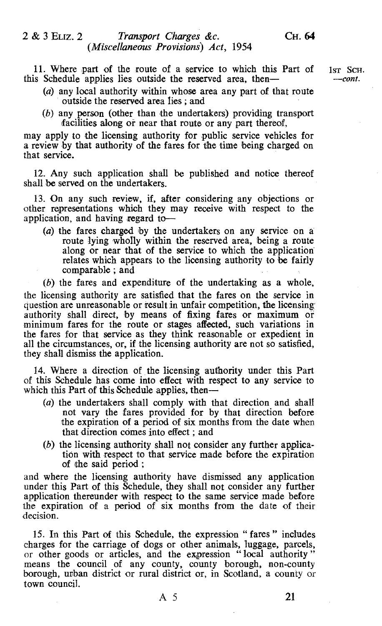11. Where part of the route of a service to which this Part of  $1ST$  Schedule applies lies outside the reserved area, then— $\frac{1}{2}$ this Schedule applies lies outside the reserved area, then-

- (a) any local authority within whose area any part of that route outside the reserved area lies ; and
- $(b)$  any person (other than the undertakers) providing transport facilities along or near that route or any part thereof,

may apply to the licensing authority for public service vehicles for a review by that authority of the fares for the time being charged on that service.

12. Any such application shall be published and notice thereof shall be served on the undertakers.

13. On any such review, if, after considering any objections or other representations which they may receive with respect to the application, and having regard to $-$ 

(a) the fares charged by the undertakers on any service on a route lying wholly within the reserved area, being a route along or near that of the service to which the application relates which appears to the licensing authority to be fairly comparable ; and

(b) the fares and expenditure of the undertaking as a whole, the licensing authority are satisfied that the fares on the service in question are unreasonable or result in unfair competition, the licensing authority shall direct, by means of fixing fares or maximum or minimum fares for the route or stages affected, such variations in the fares for that service as they think reasonable or expedient in all the circumstances, or, if the licensing authority are not so satisfied, they shall dismiss the application.

14. Where a direction of the licensing authority under this Part of this Schedule has come into effect with respect to any service to which this Part of this Schedule applies, then-

- (a) the undertakers shall comply with that direction and shall not vary the fares provided for by that direction before the expiration of a period of six months from the date when that direction comes into effect ; and
- (b) the licensing authority shall not consider any further application with respect to that service made before the expiration of the said period ;

and where the licensing authority have dismissed any application under this Part of this Schedule, they shall not consider any further application thereunder with respect to the same service made before the expiration of a period of six months from the date of their decision.

15. In this Part of this Schedule, the expression "fares" includes charges for the carriage of dogs or other animals, luggage, parcels, or other goods or articles, and the expression "local authority" means the council of any county, county borough, non-county borough, urban district or rural district or, in Scotland, a county or town council.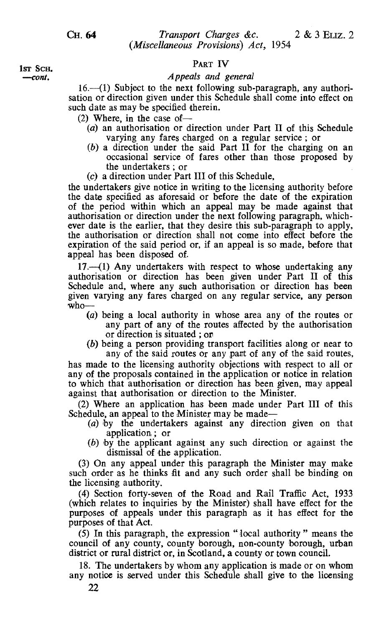#### PART IV

#### Appeals and general

 $16.$ —(1) Subject to the next following sub-paragraph, any authorisation or direction given under this Schedule shall come into effect on such date as may be specified therein.

 $(2)$  Where, in the case of-

- (a) an authorisation or direction under Part II of this Schedule varying any fares charged on a regular service; or
- (b) a direction under the said Part II for the charging on an occasional service of fares other than those proposed by the undertakers ; or
- (c) a direction under Part III of this Schedule,

the undertakers give notice in writing to the licensing authority before the date specified as aforesaid or before the date of the expiration of the period within which an appeal may be made against that authorisation or direction under the next following paragraph, whichever date is the earlier, that they desire this sub-paragraph to apply, the authorisation or direction shall not come into effect before the expiration of the said period or, if an appeal is so made, before that appeal has been disposed of.

 $17.-(1)$  Any undertakers with respect to whose undertaking any authorisation or direction has been given under Part II of this Schedule and, where any such authorisation or direction has been given varying any fares charged on any regular service, any person who-

- (a) being a local authority in whose area any of the routes or any part of any of the routes affected by the authorisation or direction is situated ; or
- (b) being a person providing transport facilities along or near to

any of the said routes or any part of any of the said routes, has made to the licensing authority objections with respect to all or any of the proposals contained in the application or notice in relation to which that authorisation or direction has been given, may appeal against that authorisation or direction to the Minister.

(2) Where an application has been made under Part III of this Schedule, an appeal to the Minister may be made—

- (a) by the undertakers against any direction given on that application ; or
- (b) by the applicant against any such direction or against the dismissal of the application.

(3) On any appeal under this paragraph the Minister may make such order as he thinks fit and any such order shall be binding on the licensing authority.

(4) Section forty-seven of the Road and Rail Traffic Act, 1933 (which relates to inquiries by the Minister) shall have effect for the purposes of appeals under this paragraph as it has effect for the purposes of that Act.

(5) In this paragraph, the expression " local authority " means the council of any county, county borough, non-county borough, urban district or rural district or, in Scotland, a county or town council.

18. The undertakers by whom any application is made or on whom any notice is served under this Schedule shall give to the licensing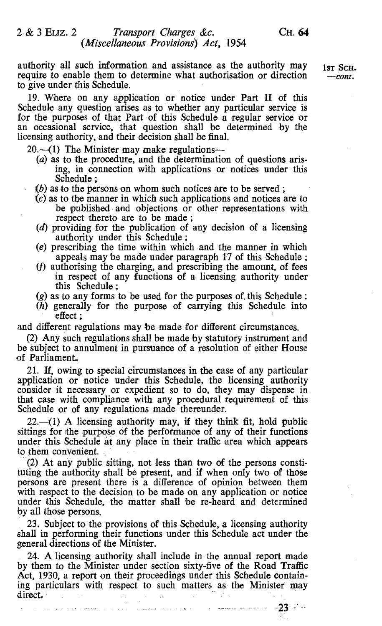# 2 & 3 ELIZ. 2 Transport Charges &c. CH. 64 (Miscellaneous Provisions) Act, 1954

authority all such information and assistance as the authority may  $1_{ST}$  SCH. require to enable them to determine what authorisation or direction --- *cont*. to give under this Schedule.

19. Where on any application or notice under Part II of this Schedule any question arises as to whether any particular service is for the purposes of that Part of this Schedule a regular service or an occasional service, that question shall be determined by the licensing authority, and their decision shall be final.

 $20$ . $-(1)$  The Minister may make regulations-

- (a) as to the procedure, and the determination of questions arising, in connection with applications or notices under this Schedule;<br>(b) as to the persons on whom such notices are to be served;
- 
- $(c)$  as to the manner in which such applications and notices are to be published and objections or other representations with respect thereto are to be made;
- (d) providing for the publication of any decision of a licensing authority under this Schedule;
- $(e)$  prescribing the time within which and the manner in which appeals may be made under paragraph 17 of this Schedule ;
- (f) authorising the charging, and prescribing the amount, of fees in respect of any functions of a licensing authority under this Schedule ;<br>(g) as to any forms to be used for the purposes of this Schedule ;
- 
- $(h)$  generally for the purpose of carrying this Schedule into effect ;

and different regulations may be made for different circumstances.

(2) Any such regulations shall be made by statutory instrument and be subject to annulment in pursuance of a resolution of either House of Parliament.

21. If, owing to special circumstances in the case of any particular application or notice under this Schedule, the licensing authority consider it necessary or expedient so to do, they may dispense in that case with compliance with any procedural requirement of this Schedule or of any regulations made thereunder.

 $22$ —(1) A licensing authority may, if they think fit, hold public sittings for the purpose of the performance of any of their functions under this Schedule at any place in their traffic area which appears to them convenient.

(2) At any public sitting, not less than two of the persons constituting the authority shall be present, and if when only two of those persons are present there is a difference of opinion between them with respect to the decision to be made on any application or notice under this Schedule, the matter shall be re-heard and determined by all those persons.

23. Subject to the provisions of this Schedule, a licensing authority shall in performing their functions under this Schedule act under the general directions of the Minister.

24. A licensing authority shall include in the annual report made by them to the Minister under section sixty-five of the Road Traffic Act, 1930, a report on their proceedings under this Schedule containing particulars with respect to such matters as the Minister may direct.  $\bar{\omega}_\mathrm{A}$ 

. The presentation of the complex contract of the complex contract  $\sim 23\%$  .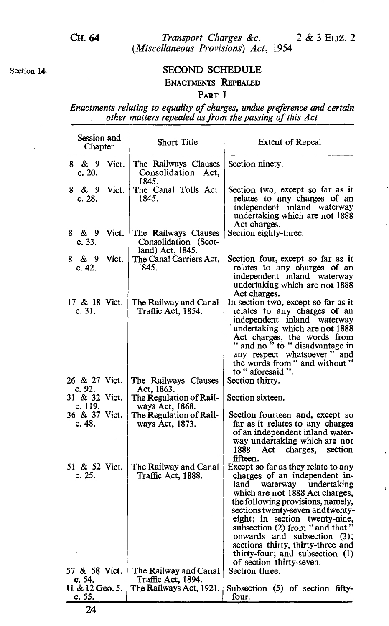# Section 14. SECOND SCHEDULE ENACTMENTS REPEALED

# PART I

Enactments relating to equality of charges, undue preference and certain other matters repealed as from the passing of this Act

| Session and<br>Chapter    | <b>Short Title</b>                                               | <b>Extent of Repeal</b>                                                                                                                                                                                                                                                                                                                                                                                               |
|---------------------------|------------------------------------------------------------------|-----------------------------------------------------------------------------------------------------------------------------------------------------------------------------------------------------------------------------------------------------------------------------------------------------------------------------------------------------------------------------------------------------------------------|
| 8 & 9 Vict.<br>c. 20.     | The Railways Clauses<br>Consolidation Act,<br>1845.              | Section ninety.                                                                                                                                                                                                                                                                                                                                                                                                       |
| 8 & 9<br>Vict.<br>c. 28.  | The Canal Tolls Act,<br>1845.                                    | Section two, except so far as it<br>relates to any charges of an<br>independent inland waterway<br>undertaking which are not 1888<br>Act charges.                                                                                                                                                                                                                                                                     |
| 8 & 9 Vict.<br>c. 33.     | The Railways Clauses<br>Consolidation (Scot-<br>land) Act, 1845. | Section eighty-three.                                                                                                                                                                                                                                                                                                                                                                                                 |
| 8 & 9 Vict.<br>c. 42.     | The Canal Carriers Act,<br>1845.                                 | Section four, except so far as it<br>relates to any charges of an<br>independent inland waterway<br>undertaking which are not 1888<br>Act charges.                                                                                                                                                                                                                                                                    |
| 17 & 18 Vict.<br>c.31.    | The Railway and Canal<br>Traffic Act, 1854.                      | In section two, except so far as it<br>relates to any charges of an<br>independent inland waterway<br>undertaking which are not 1888<br>Act charges, the words from<br>" and no" to " disadvantage in<br>any respect whatsoever" and<br>the words from " and without "<br>to " aforesaid ".                                                                                                                           |
| 26 & 27 Vict.<br>c. 92.   | The Railways Clauses<br>Act, 1863.                               | Section thirty.                                                                                                                                                                                                                                                                                                                                                                                                       |
| 31 & 32 Vict.<br>c. 119.  | The Regulation of Rail-<br>ways Act, 1868.                       | Section sixteen.                                                                                                                                                                                                                                                                                                                                                                                                      |
| 36 & 37 Vict.<br>c. 48.   | The Regulation of Rail-<br>ways Act, 1873.                       | Section fourteen and, except so<br>far as it relates to any charges<br>of an independent inland water-<br>way undertaking which are not<br>1888<br>Act charges, section<br>fifteen.                                                                                                                                                                                                                                   |
| 51 & 52 Vict.<br>c. 25.   | The Railway and Canal<br>Traffic Act, 1888.                      | Except so far as they relate to any<br>charges of an independent in-<br>land waterway undertaking<br>which are not 1888 Act charges,<br>the following provisions, namely,<br>sections twenty-seven and twenty-<br>eight; in section twenty-nine,<br>subsection (2) from "and that"<br>onwards and subsection (3);<br>sections thirty, thirty-three and<br>thirty-four; and subsection (1)<br>of section thirty-seven. |
| 57 & 58 Vict.<br>c. 54.   | The Railway and Canal<br>Traffic Act, 1894.                      | Section three.                                                                                                                                                                                                                                                                                                                                                                                                        |
| 11 & 12 Geo. 5.<br>c. 55. | The Railways Act, 1921.                                          | Subsection (5) of section fifty-<br>four.                                                                                                                                                                                                                                                                                                                                                                             |
| 24                        |                                                                  |                                                                                                                                                                                                                                                                                                                                                                                                                       |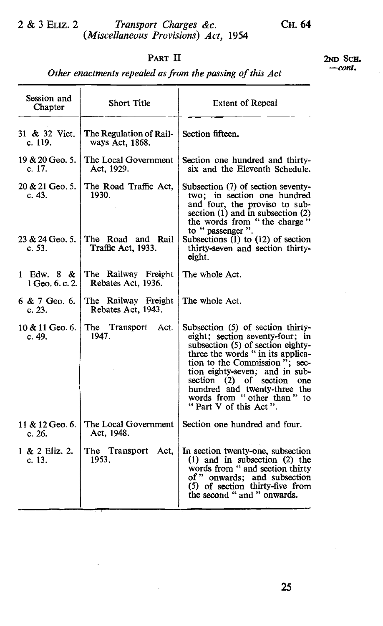# 2 & 3 ELIZ. 2 Transport Charges &c. (Miscellaneous Provisions) Act, 1954

# PART II

2ND SCH. -cont.

|  | Other enactments repealed as from the passing of this Act |  |  |  |  |  |  |  |  |  |
|--|-----------------------------------------------------------|--|--|--|--|--|--|--|--|--|
|--|-----------------------------------------------------------|--|--|--|--|--|--|--|--|--|

| Session and<br>Chapter        | <b>Short Title</b>                         | <b>Extent of Repeal</b>                                                                                                                                                                                                                                                                                                                |
|-------------------------------|--------------------------------------------|----------------------------------------------------------------------------------------------------------------------------------------------------------------------------------------------------------------------------------------------------------------------------------------------------------------------------------------|
| 31 & 32 Vict.<br>c. 119.      | The Regulation of Rail-<br>ways Act, 1868. | Section fifteen.                                                                                                                                                                                                                                                                                                                       |
| 19 & 20 Geo. 5.<br>c. 17.     | The Local Government<br>Act, 1929.         | Section one hundred and thirty-<br>six and the Eleventh Schedule.                                                                                                                                                                                                                                                                      |
| 20 & 21 Geo. 5.<br>c. 43.     | The Road Traffic Act,<br>1930.             | Subsection (7) of section seventy-<br>two; in section one hundred<br>and four, the proviso to sub-<br>section (1) and in subsection (2)<br>the words from "the charge"<br>to " passenger ".                                                                                                                                            |
| 23 & 24 Geo. 5.<br>c.53.      | The Road and Rail<br>Traffic Act, 1933.    | Subsections $(1)$ to $(12)$ of section<br>thirty-seven and section thirty-<br>eight.                                                                                                                                                                                                                                                   |
| 1 Edw. 8 &<br>1 Geo. 6, c. 2. | The Railway Freight<br>Rebates Act, 1936.  | The whole Act.                                                                                                                                                                                                                                                                                                                         |
| $6 & 7$ Geo. 6.<br>c. 23.     | The Railway Freight<br>Rebates Act, 1943.  | The whole Act.                                                                                                                                                                                                                                                                                                                         |
| 10 & 11 Geo. 6.<br>c. 49.     | The Transport<br>Act.<br>1947.             | Subsection (5) of section thirty-<br>eight; section seventy-four; in<br>subsection (5) of section eighty-<br>three the words " in its applica-<br>tion to the Commission"; sec-<br>tion eighty-seven; and in sub-<br>section (2) of section one<br>hundred and twenty-three the<br>words from "other than" to<br>"Part V of this Act". |
| 11 & 12 Geo. 6.<br>c. 26.     | The Local Government<br>Act, 1948.         | Section one hundred and four.                                                                                                                                                                                                                                                                                                          |
| 1 & 2 Eliz. 2.<br>c. 13.      | The Transport Act,<br>1953.                | In section twenty-one, subsection<br>$(1)$ and in subsection $(2)$ the<br>words from " and section thirty<br>of " onwards; and subsection<br>$(5)$ of section thirty-five from<br>the second " and " onwards.                                                                                                                          |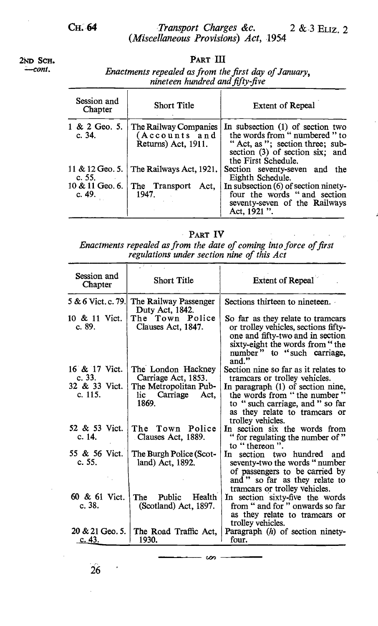2ND SCH.<br>
2ND SCH.<br>
PART III<br>
Fractments repealed as from the -cont. Enactments repealed as from the first day of January, nineteen hundred and fifty-five

| Session and<br>Chapter    | <b>Short Title</b>                                            | <b>Extent of Repeal</b>                                                                                                                                        |
|---------------------------|---------------------------------------------------------------|----------------------------------------------------------------------------------------------------------------------------------------------------------------|
| 1 & 2 Geo. 5.<br>c. $34.$ | The Railway Companies<br>(Accounts and<br>Returns) Act. 1911. | In subsection (1) of section two<br>the words from " numbered " to<br>"Act, as"; section three; sub-<br>section (3) of section six; and<br>the First Schedule. |
| c.55.                     | 11 & 12 Geo. 5. The Railways Act, 1921.                       | Section seventy-seven and the<br>Eighth Schedule.                                                                                                              |
| c. 49.                    | 10 & 11 Geo. 6. The Transport<br>Act.<br>1947.                | In subsection (6) of section ninety-<br>four the words "and section<br>seventy-seven of the Railways<br>Act. 1921 ".                                           |

PART IV

Enactments repealed as from the date of coming into force of first regulations under section nine of this Act

| 71 F<br>Session and<br><b>Short Title</b><br>Chapter |                                                           | <b>Extent of Repeal</b>                                                                                                                                                                 |  |  |  |
|------------------------------------------------------|-----------------------------------------------------------|-----------------------------------------------------------------------------------------------------------------------------------------------------------------------------------------|--|--|--|
| 5 & 6 Vict. c. 79.                                   | The Railway Passenger<br>Duty Act, 1842.                  | Sections thirteen to nineteen.                                                                                                                                                          |  |  |  |
| 10 & 11 Vict.<br>c. 89.                              | The Town Police<br>Clauses Act, 1847.                     | So far as they relate to tramcars<br>or trolley vehicles, sections fifty-<br>one and fifty-two and in section<br>sixty-eight the words from "the<br>number" to "such carriage,<br>and." |  |  |  |
| 16 & 17 Vict.<br>c.33.                               | The London Hackney<br>Carriage Act, 1853.                 | Section nine so far as it relates to<br>tramcars or trolley vehicles.                                                                                                                   |  |  |  |
| 32 & 33 Vict.<br>c. 115.                             | The Metropolitan Pub-<br>Carriage<br>lic<br>Act.<br>1869. | In paragraph (1) of section nine,<br>the words from "the number"<br>to "such carriage, and " so far<br>as they relate to tramcars or<br>trolley vehicles.                               |  |  |  |
| 52 & 53 Vict.<br>c. 14.                              | The Town Police<br>Clauses Act, 1889.                     | In section six the words from<br>" for regulating the number of "<br>to "thereon".                                                                                                      |  |  |  |
| 55 & 56 Vict.<br>c. 55.                              | The Burgh Police (Scot-<br>land) Act, 1892.               | section two hundred<br>In<br>and<br>seventy-two the words "number<br>of passengers to be carried by<br>and " so far as they relate to<br>tramears or trolley vehicles.                  |  |  |  |
| 60 & 61 Vict.<br>c.38.                               | Public<br>Health<br>The<br>(Scotland) Act, 1897.          | In section sixty-five the words<br>from " and for " onwards so far<br>as they relate to tramcars or<br>trolley vehicles.                                                                |  |  |  |
| 20 & 21 Geo. 5.<br>. c. 43.                          | The Road Traffic Act.<br>1930.                            | Paragraph $(h)$ of section ninety-<br>four.                                                                                                                                             |  |  |  |

 $\infty$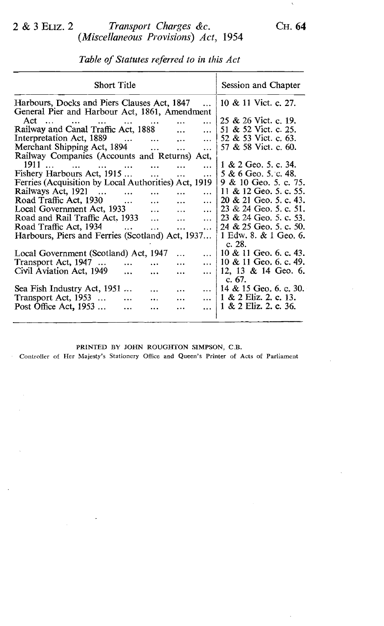# 2 & 3 ELIZ. 2 Transport Charges &c. (Miscellaneous Provisions) Act, 1954

Table of Statutes referred to in this Act

| <b>Short Title</b>                                                                  |                                                                                                                                                                                                                                                               |                                                                                                                                                                                    |                                                                              |                                                                                                                                                                                                                                                                                  |  |
|-------------------------------------------------------------------------------------|---------------------------------------------------------------------------------------------------------------------------------------------------------------------------------------------------------------------------------------------------------------|------------------------------------------------------------------------------------------------------------------------------------------------------------------------------------|------------------------------------------------------------------------------|----------------------------------------------------------------------------------------------------------------------------------------------------------------------------------------------------------------------------------------------------------------------------------|--|
| Harbours, Docks and Piers Clauses Act, 1847<br>10 & 11 Vict. c. 27.<br>$\mathbf{1}$ |                                                                                                                                                                                                                                                               |                                                                                                                                                                                    |                                                                              |                                                                                                                                                                                                                                                                                  |  |
|                                                                                     |                                                                                                                                                                                                                                                               |                                                                                                                                                                                    |                                                                              |                                                                                                                                                                                                                                                                                  |  |
|                                                                                     |                                                                                                                                                                                                                                                               |                                                                                                                                                                                    |                                                                              | 25 & 26 Vict. c. 19.                                                                                                                                                                                                                                                             |  |
|                                                                                     |                                                                                                                                                                                                                                                               |                                                                                                                                                                                    |                                                                              | 51 & 52 Vict. c. 25.                                                                                                                                                                                                                                                             |  |
|                                                                                     |                                                                                                                                                                                                                                                               |                                                                                                                                                                                    |                                                                              | 52 & 53 Vict. c. 63.                                                                                                                                                                                                                                                             |  |
|                                                                                     |                                                                                                                                                                                                                                                               |                                                                                                                                                                                    |                                                                              | 57 & 58 Vict. c. 60.                                                                                                                                                                                                                                                             |  |
|                                                                                     |                                                                                                                                                                                                                                                               |                                                                                                                                                                                    |                                                                              |                                                                                                                                                                                                                                                                                  |  |
|                                                                                     |                                                                                                                                                                                                                                                               |                                                                                                                                                                                    |                                                                              | $1 \& 2 \text{ Geo. } 5 \text{.c. } 34.$                                                                                                                                                                                                                                         |  |
|                                                                                     |                                                                                                                                                                                                                                                               |                                                                                                                                                                                    |                                                                              | 5 & 6 Geo. 5. c. 48.                                                                                                                                                                                                                                                             |  |
|                                                                                     |                                                                                                                                                                                                                                                               |                                                                                                                                                                                    |                                                                              | 9 & 10 Geo. 5, c. 75.                                                                                                                                                                                                                                                            |  |
|                                                                                     |                                                                                                                                                                                                                                                               |                                                                                                                                                                                    |                                                                              | 11 & 12 Geo, 5, c, 55.                                                                                                                                                                                                                                                           |  |
|                                                                                     |                                                                                                                                                                                                                                                               |                                                                                                                                                                                    |                                                                              |                                                                                                                                                                                                                                                                                  |  |
|                                                                                     |                                                                                                                                                                                                                                                               |                                                                                                                                                                                    |                                                                              | 20 & 21 Geo. 5, c. 43.                                                                                                                                                                                                                                                           |  |
|                                                                                     | $\cdots$                                                                                                                                                                                                                                                      |                                                                                                                                                                                    | $\cdots$                                                                     | 23 & 24 Geo. 5. c. 51.                                                                                                                                                                                                                                                           |  |
|                                                                                     | $\ddotsc$                                                                                                                                                                                                                                                     | $\cdots$                                                                                                                                                                           | $\cdots$                                                                     | 23 & 24 Geo. 5. c. 53.                                                                                                                                                                                                                                                           |  |
|                                                                                     | $\overline{a}$                                                                                                                                                                                                                                                | $\cdots$                                                                                                                                                                           | $\cdots$                                                                     | 24 & 25 Geo, 5, c, 50,                                                                                                                                                                                                                                                           |  |
| Harbours, Piers and Ferries (Scotland) Act, 1937                                    |                                                                                                                                                                                                                                                               |                                                                                                                                                                                    |                                                                              |                                                                                                                                                                                                                                                                                  |  |
|                                                                                     |                                                                                                                                                                                                                                                               |                                                                                                                                                                                    |                                                                              | c. 28.                                                                                                                                                                                                                                                                           |  |
|                                                                                     |                                                                                                                                                                                                                                                               | $\ddotsc$                                                                                                                                                                          | $\ddotsc$                                                                    | 10 & 11 Geo. 6. c. 43.                                                                                                                                                                                                                                                           |  |
|                                                                                     |                                                                                                                                                                                                                                                               |                                                                                                                                                                                    |                                                                              | 10 & 11 Geo, 6, c, 49,                                                                                                                                                                                                                                                           |  |
|                                                                                     |                                                                                                                                                                                                                                                               |                                                                                                                                                                                    |                                                                              | 12, 13 & 14 Geo. 6.                                                                                                                                                                                                                                                              |  |
|                                                                                     |                                                                                                                                                                                                                                                               |                                                                                                                                                                                    |                                                                              | c. $67.$                                                                                                                                                                                                                                                                         |  |
|                                                                                     |                                                                                                                                                                                                                                                               |                                                                                                                                                                                    |                                                                              | $\frac{14 \& 15 \text{ Geo. } 6 \text{ c. } 30.}$                                                                                                                                                                                                                                |  |
|                                                                                     |                                                                                                                                                                                                                                                               |                                                                                                                                                                                    |                                                                              |                                                                                                                                                                                                                                                                                  |  |
| $\ddotsc$                                                                           |                                                                                                                                                                                                                                                               | .                                                                                                                                                                                  |                                                                              | 1 & 2 Eliz. 2. c. 13.                                                                                                                                                                                                                                                            |  |
| .                                                                                   |                                                                                                                                                                                                                                                               | .                                                                                                                                                                                  | $\cdots$                                                                     | 1 & 2 Eliz. 2. c. 36.                                                                                                                                                                                                                                                            |  |
|                                                                                     | $\cdots$<br>Interpretation Act, 1889<br>Merchant Shipping Act, 1894<br>1911<br>Fishery Harbours Act, 1915<br>$\overline{\phantom{a}}$<br>$\cdots$<br>Local Government Act, 1933<br>Road and Rail Traffic Act, 1933<br>$\cdots$<br>Sea Fish Industry Act, 1951 | $\cdots$<br>Railway and Canal Traffic Act, 1888<br>$\ddotsc$<br>$\cdots$<br>$\ddotsc$<br>$\ddotsc$<br>$\ddotsc$<br>$\ddotsc$<br>Local Government (Scotland) Act, 1947<br>$\ddotsc$ | $\cdots$<br>$\ddotsc$<br>$\ddotsc$<br>$\ddotsc$<br>$\cdots$<br>$\cdots$<br>. | General Pier and Harbour Act, 1861, Amendment<br>$\cdots$<br>$\ddotsc$<br>$\cdots$<br>$\cdots$<br>Railway Companies (Accounts and Returns) Act,<br>$\cdots$<br>$\cdots$<br>Ferries (Acquisition by Local Authorities) Act, 1919<br>$\ddotsc$<br>$\cdots$<br>$\cdots$<br>$\cdots$ |  |

#### PRINTED BY JOHN ROUGHTON SIMPSON, C.B.

- Controller of Her Majesty's Stationery Office and Queen's Printer of Acts of Parliament